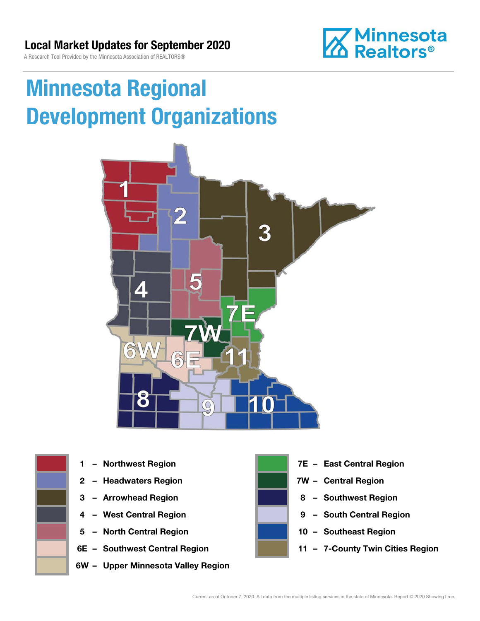

# Minnesota Regional Development Organizations







- 
- 
- 
- 5 North Central Region 10 Southeast Region
- 
- 6W Upper Minnesota Valley Region



- 1 Northwest Region **1 1999 12 Property Contral Region**
- 2 Headwaters Region **1988 7W Central Region**
- 3 Arrowhead Region **8 Southwest Region**
- 4 West Central Region **19 South Central Region** 
	-
- 6E Southwest Central Region **11 7-County Twin Cities Region**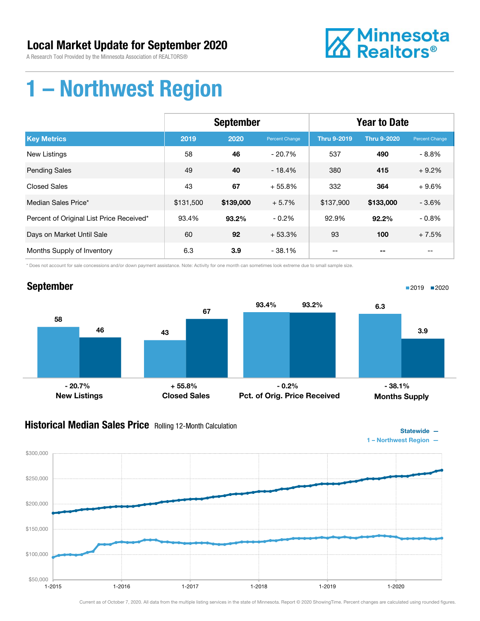A Research Tool Provided by the Minnesota Association of REALTORS®



### 1 – Northwest Region

|                                          | <b>September</b> |           |                | <b>Year to Date</b> |                    |                |
|------------------------------------------|------------------|-----------|----------------|---------------------|--------------------|----------------|
| <b>Key Metrics</b>                       | 2019             | 2020      | Percent Change | <b>Thru 9-2019</b>  | <b>Thru 9-2020</b> | Percent Change |
| <b>New Listings</b>                      | 58               | 46        | $-20.7%$       | 537                 | 490                | $-8.8%$        |
| <b>Pending Sales</b>                     | 49               | 40        | $-18.4%$       | 380                 | 415                | $+9.2%$        |
| <b>Closed Sales</b>                      | 43               | 67        | $+55.8%$       | 332                 | 364                | $+9.6%$        |
| Median Sales Price*                      | \$131,500        | \$139,000 | $+5.7%$        | \$137,900           | \$133,000          | $-3.6\%$       |
| Percent of Original List Price Received* | 93.4%            | 93.2%     | $-0.2%$        | 92.9%               | 92.2%              | $-0.8%$        |
| Days on Market Until Sale                | 60               | 92        | $+53.3%$       | 93                  | 100                | $+7.5%$        |
| Months Supply of Inventory               | 6.3              | 3.9       | $-38.1%$       | --                  |                    | --             |

\* Does not account for sale concessions and/or down payment assistance. Note: Activity for one month can sometimes look extreme due to small sample size.



#### **Historical Median Sales Price** Rolling 12-Month Calculation



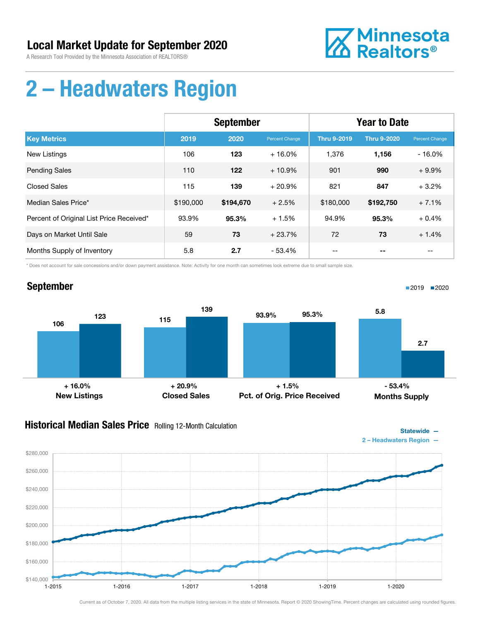

### 2 – Headwaters Region

|                                          | <b>September</b> |           |                | <b>Year to Date</b> |                    |                |
|------------------------------------------|------------------|-----------|----------------|---------------------|--------------------|----------------|
| <b>Key Metrics</b>                       | 2019             | 2020      | Percent Change | <b>Thru 9-2019</b>  | <b>Thru 9-2020</b> | Percent Change |
| <b>New Listings</b>                      | 106              | 123       | $+16.0%$       | 1.376               | 1,156              | $-16.0%$       |
| <b>Pending Sales</b>                     | 110              | 122       | $+10.9%$       | 901                 | 990                | $+9.9%$        |
| <b>Closed Sales</b>                      | 115              | 139       | $+20.9%$       | 821                 | 847                | $+3.2%$        |
| Median Sales Price*                      | \$190,000        | \$194,670 | $+2.5%$        | \$180,000           | \$192,750          | $+7.1%$        |
| Percent of Original List Price Received* | 93.9%            | 95.3%     | $+1.5%$        | 94.9%               | 95.3%              | $+0.4%$        |
| Days on Market Until Sale                | 59               | 73        | $+23.7%$       | 72                  | 73                 | $+1.4%$        |
| Months Supply of Inventory               | 5.8              | 2.7       | $-53.4%$       |                     |                    |                |

\* Does not account for sale concessions and/or down payment assistance. Note: Activity for one month can sometimes look extreme due to small sample size.

#### September



#### **Historical Median Sales Price** Rolling 12-Month Calculation



■2019 ■2020

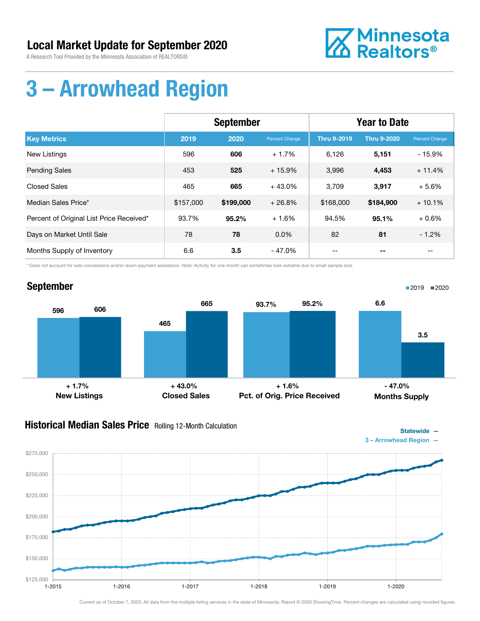A Research Tool Provided by the Minnesota Association of REALTORS®



# 3 – Arrowhead Region

|                                          | <b>September</b> |           |                | <b>Year to Date</b> |                    |                          |
|------------------------------------------|------------------|-----------|----------------|---------------------|--------------------|--------------------------|
| <b>Key Metrics</b>                       | 2019             | 2020      | Percent Change | <b>Thru 9-2019</b>  | <b>Thru 9-2020</b> | Percent Change           |
| <b>New Listings</b>                      | 596              | 606       | $+1.7%$        | 6,126               | 5,151              | $-15.9%$                 |
| <b>Pending Sales</b>                     | 453              | 525       | $+15.9%$       | 3,996               | 4,453              | $+11.4%$                 |
| <b>Closed Sales</b>                      | 465              | 665       | $+43.0%$       | 3,709               | 3,917              | $+5.6%$                  |
| Median Sales Price*                      | \$157,000        | \$199,000 | $+26.8%$       | \$168,000           | \$184,900          | $+10.1%$                 |
| Percent of Original List Price Received* | 93.7%            | $95.2\%$  | $+1.6%$        | 94.5%               | 95.1%              | $+0.6%$                  |
| Days on Market Until Sale                | 78               | 78        | $0.0\%$        | 82                  | 81                 | $-1.2%$                  |
| Months Supply of Inventory               | 6.6              | 3.5       | $-47.0%$       | $- -$               | --                 | $\overline{\phantom{m}}$ |

\* Does not account for sale concessions and/or down payment assistance. Note: Activity for one month can sometimes look extreme due to small sample size.



#### **Historical Median Sales Price** Rolling 12-Month Calculation



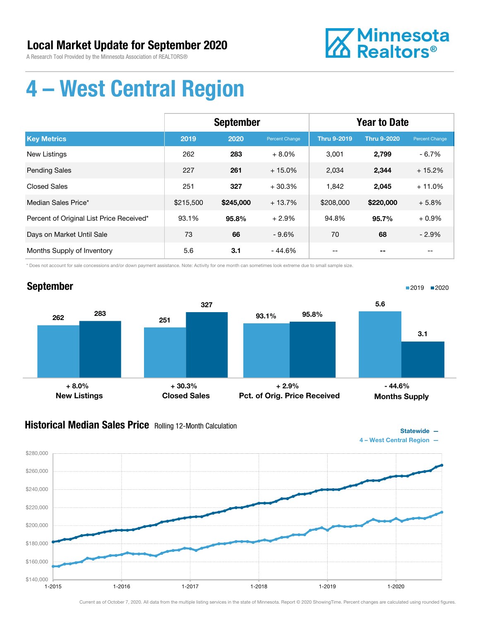A Research Tool Provided by the Minnesota Association of REALTORS®



# 4 – West Central Region

|                                          | <b>September</b> |           |                | <b>Year to Date</b> |                    |                |
|------------------------------------------|------------------|-----------|----------------|---------------------|--------------------|----------------|
| <b>Key Metrics</b>                       | 2019             | 2020      | Percent Change | <b>Thru 9-2019</b>  | <b>Thru 9-2020</b> | Percent Change |
| New Listings                             | 262              | 283       | $+8.0\%$       | 3,001               | 2,799              | $-6.7\%$       |
| <b>Pending Sales</b>                     | 227              | 261       | $+15.0%$       | 2,034               | 2,344              | $+15.2%$       |
| <b>Closed Sales</b>                      | 251              | 327       | $+30.3%$       | 1,842               | 2,045              | $+11.0%$       |
| Median Sales Price*                      | \$215,500        | \$245,000 | $+13.7%$       | \$208,000           | \$220,000          | $+5.8%$        |
| Percent of Original List Price Received* | 93.1%            | 95.8%     | $+2.9%$        | 94.8%               | 95.7%              | $+0.9%$        |
| Days on Market Until Sale                | 73               | 66        | $-9.6%$        | 70                  | 68                 | $-2.9%$        |
| Months Supply of Inventory               | 5.6              | 3.1       | - 44.6%        |                     |                    |                |

\* Does not account for sale concessions and/or down payment assistance. Note: Activity for one month can sometimes look extreme due to small sample size.



#### **Historical Median Sales Price** Rolling 12-Month Calculation



Statewide —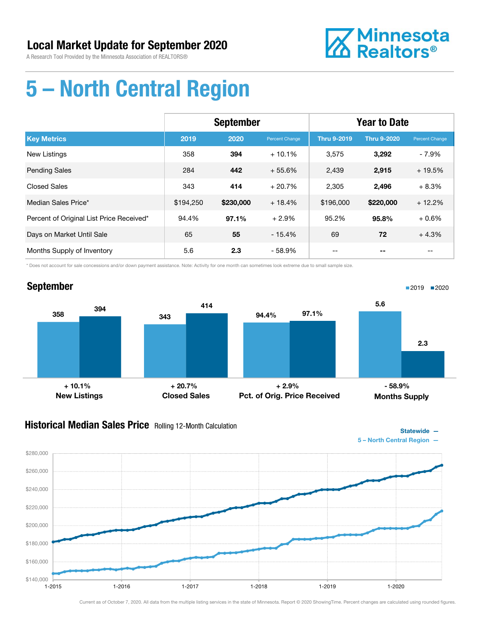

# 5 – North Central Region

|                                          | <b>September</b> |           |                | <b>Year to Date</b> |                    |                |
|------------------------------------------|------------------|-----------|----------------|---------------------|--------------------|----------------|
| <b>Key Metrics</b>                       | 2019             | 2020      | Percent Change | <b>Thru 9-2019</b>  | <b>Thru 9-2020</b> | Percent Change |
| <b>New Listings</b>                      | 358              | 394       | $+10.1%$       | 3,575               | 3,292              | $-7.9%$        |
| <b>Pending Sales</b>                     | 284              | 442       | $+55.6%$       | 2,439               | 2,915              | $+19.5%$       |
| <b>Closed Sales</b>                      | 343              | 414       | $+20.7%$       | 2,305               | 2,496              | $+8.3%$        |
| Median Sales Price*                      | \$194,250        | \$230,000 | $+18.4%$       | \$196,000           | \$220,000          | $+12.2%$       |
| Percent of Original List Price Received* | 94.4%            | 97.1%     | $+2.9%$        | 95.2%               | 95.8%              | $+0.6%$        |
| Days on Market Until Sale                | 65               | 55        | $-15.4%$       | 69                  | 72                 | $+4.3%$        |
| Months Supply of Inventory               | 5.6              | 2.3       | - 58.9%        |                     |                    |                |

\* Does not account for sale concessions and/or down payment assistance. Note: Activity for one month can sometimes look extreme due to small sample size.

#### September 358 343 <sup>394</sup> <sup>414</sup> New Listings Closed Sales 94.4% 97.1% Pct. of Orig. Price Received 5.6 2.3 Months Supply ■2019 2020  $+ 10.1\%$  -  $+ 20.7\%$  -  $+ 2.9\%$  - 58.9%

#### **Historical Median Sales Price** Rolling 12-Month Calculation



1-2015 1-2016 1-2017 1-2018 1-2019 1-2020

Statewide —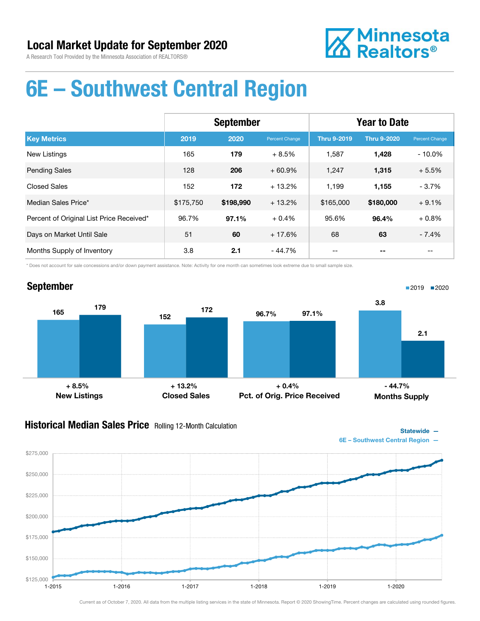

### 6E – Southwest Central Region

|                                          | <b>September</b> |           |                | <b>Year to Date</b> |                    |                |
|------------------------------------------|------------------|-----------|----------------|---------------------|--------------------|----------------|
| <b>Key Metrics</b>                       | 2019             | 2020      | Percent Change | <b>Thru 9-2019</b>  | <b>Thru 9-2020</b> | Percent Change |
| <b>New Listings</b>                      | 165              | 179       | $+8.5%$        | 1,587               | 1,428              | $-10.0%$       |
| <b>Pending Sales</b>                     | 128              | 206       | $+60.9%$       | 1,247               | 1,315              | $+5.5%$        |
| <b>Closed Sales</b>                      | 152              | 172       | $+13.2%$       | 1,199               | 1,155              | $-3.7%$        |
| Median Sales Price*                      | \$175,750        | \$198,990 | $+13.2%$       | \$165,000           | \$180,000          | $+9.1%$        |
| Percent of Original List Price Received* | 96.7%            | 97.1%     | $+0.4%$        | 95.6%               | 96.4%              | $+0.8%$        |
| Days on Market Until Sale                | 51               | 60        | $+17.6%$       | 68                  | 63                 | $-7.4%$        |
| Months Supply of Inventory               | 3.8              | 2.1       | - 44.7%        | --                  |                    | $- -$          |

\* Does not account for sale concessions and/or down payment assistance. Note: Activity for one month can sometimes look extreme due to small sample size.



#### **Historical Median Sales Price** Rolling 12-Month Calculation

Statewide —

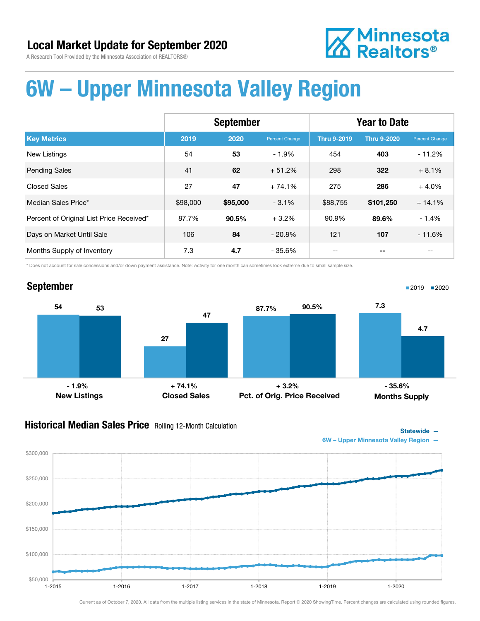# **Z** Minnesota<br>**ZA** Realtors<sup>®</sup>

# 6W – Upper Minnesota Valley Region

|                                          | <b>September</b> |          |                | <b>Year to Date</b> |                    |                |
|------------------------------------------|------------------|----------|----------------|---------------------|--------------------|----------------|
| <b>Key Metrics</b>                       | 2019             | 2020     | Percent Change | <b>Thru 9-2019</b>  | <b>Thru 9-2020</b> | Percent Change |
| <b>New Listings</b>                      | 54               | 53       | $-1.9%$        | 454                 | 403                | $-11.2%$       |
| <b>Pending Sales</b>                     | 41               | 62       | $+51.2%$       | 298                 | 322                | $+8.1%$        |
| <b>Closed Sales</b>                      | 27               | 47       | $+74.1%$       | 275                 | 286                | $+4.0%$        |
| Median Sales Price*                      | \$98,000         | \$95,000 | $-3.1%$        | \$88,755            | \$101,250          | $+14.1%$       |
| Percent of Original List Price Received* | 87.7%            | 90.5%    | $+3.2%$        | 90.9%               | 89.6%              | $-1.4%$        |
| Days on Market Until Sale                | 106              | 84       | $-20.8\%$      | 121                 | 107                | $-11.6%$       |
| Months Supply of Inventory               | 7.3              | 4.7      | $-35.6%$       |                     |                    | --             |

\* Does not account for sale concessions and/or down payment assistance. Note: Activity for one month can sometimes look extreme due to small sample size.

#### September



#### **Historical Median Sales Price** Rolling 12-Month Calculation



■2019 2020

6W – Upper Minnesota Valley Region —

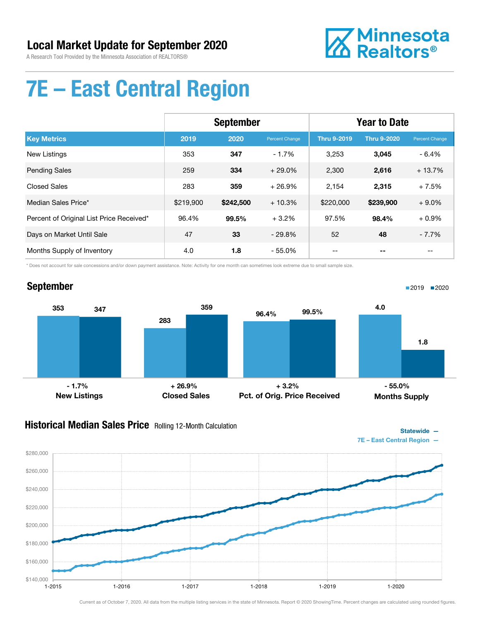

# 7E – East Central Region

|                                          | <b>September</b> |           |                | <b>Year to Date</b> |                    |                |
|------------------------------------------|------------------|-----------|----------------|---------------------|--------------------|----------------|
| <b>Key Metrics</b>                       | 2019             | 2020      | Percent Change | <b>Thru 9-2019</b>  | <b>Thru 9-2020</b> | Percent Change |
| <b>New Listings</b>                      | 353              | 347       | $-1.7%$        | 3,253               | 3,045              | $-6.4%$        |
| <b>Pending Sales</b>                     | 259              | 334       | $+29.0%$       | 2,300               | 2,616              | $+13.7%$       |
| <b>Closed Sales</b>                      | 283              | 359       | $+26.9%$       | 2,154               | 2,315              | $+7.5%$        |
| Median Sales Price*                      | \$219,900        | \$242,500 | $+10.3%$       | \$220,000           | \$239,900          | $+9.0%$        |
| Percent of Original List Price Received* | 96.4%            | 99.5%     | $+3.2%$        | 97.5%               | 98.4%              | $+0.9%$        |
| Days on Market Until Sale                | 47               | 33        | $-29.8%$       | 52                  | 48                 | $-7.7%$        |
| Months Supply of Inventory               | 4.0              | 1.8       | - 55.0%        |                     |                    |                |

\* Does not account for sale concessions and/or down payment assistance. Note: Activity for one month can sometimes look extreme due to small sample size.

#### September



#### **Historical Median Sales Price** Rolling 12-Month Calculation



■2019 2020

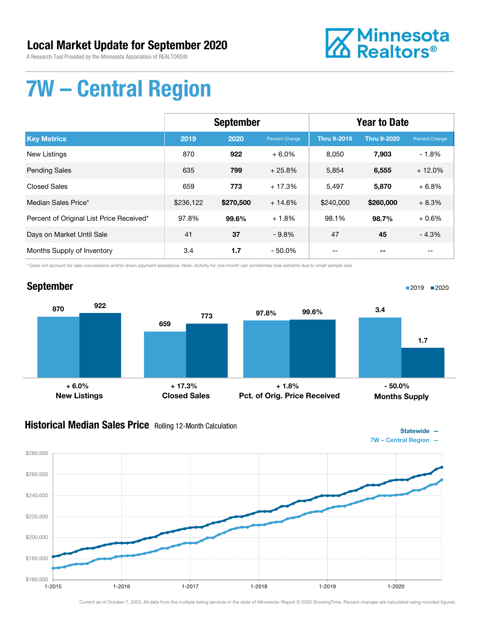A Research Tool Provided by the Minnesota Association of REALTORS®



# 7W – Central Region

|                                          | <b>September</b> |           |                | <b>Year to Date</b> |                    |                |
|------------------------------------------|------------------|-----------|----------------|---------------------|--------------------|----------------|
| <b>Key Metrics</b>                       | 2019             | 2020      | Percent Change | <b>Thru 9-2019</b>  | <b>Thru 9-2020</b> | Percent Change |
| <b>New Listings</b>                      | 870              | 922       | $+6.0%$        | 8,050               | 7,903              | $-1.8%$        |
| <b>Pending Sales</b>                     | 635              | 799       | $+25.8%$       | 5,854               | 6,555              | $+12.0%$       |
| <b>Closed Sales</b>                      | 659              | 773       | $+17.3%$       | 5,497               | 5,870              | $+6.8%$        |
| Median Sales Price*                      | \$236,122        | \$270,500 | $+14.6%$       | \$240,000           | \$260,000          | $+8.3%$        |
| Percent of Original List Price Received* | 97.8%            | 99.6%     | $+1.8%$        | 98.1%               | 98.7%              | $+0.6%$        |
| Days on Market Until Sale                | 41               | 37        | $-9.8%$        | 47                  | 45                 | $-4.3%$        |
| Months Supply of Inventory               | 3.4              | 1.7       | $-50.0\%$      |                     |                    |                |

\* Does not account for sale concessions and/or down payment assistance. Note: Activity for one month can sometimes look extreme due to small sample size.

### September



#### **Historical Median Sales Price** Rolling 12-Month Calculation



■2019 2020

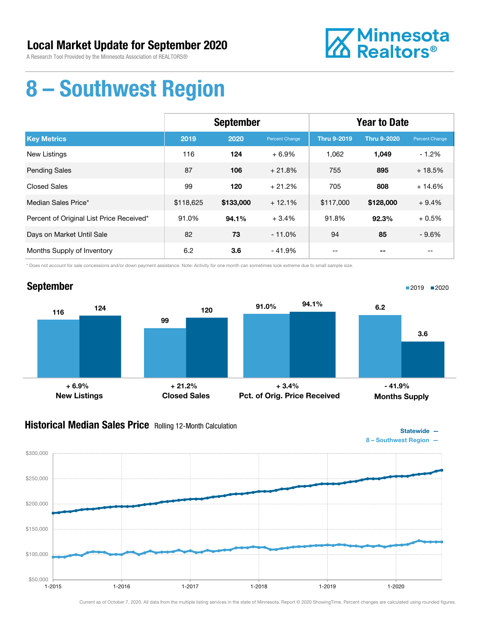A Research Tool Provided by the Minnesota Association of REALTORS®



### 8 – Southwest Region

|                                          | <b>September</b> |           |                | <b>Year to Date</b> |                    |                |
|------------------------------------------|------------------|-----------|----------------|---------------------|--------------------|----------------|
| <b>Key Metrics</b>                       | 2019             | 2020      | Percent Change | <b>Thru 9-2019</b>  | <b>Thru 9-2020</b> | Percent Change |
| <b>New Listings</b>                      | 116              | 124       | $+6.9%$        | 1,062               | 1,049              | $-1.2%$        |
| <b>Pending Sales</b>                     | 87               | 106       | $+21.8%$       | 755                 | 895                | $+18.5%$       |
| <b>Closed Sales</b>                      | 99               | 120       | $+21.2%$       | 705                 | 808                | $+14.6%$       |
| Median Sales Price*                      | \$118,625        | \$133,000 | $+12.1%$       | \$117,000           | \$128,000          | $+9.4%$        |
| Percent of Original List Price Received* | 91.0%            | 94.1%     | $+3.4%$        | 91.8%               | 92.3%              | $+0.5%$        |
| Days on Market Until Sale                | 82               | 73        | $-11.0%$       | 94                  | 85                 | $-9.6%$        |
| Months Supply of Inventory               | 6.2              | 3.6       | - 41.9%        | --                  |                    | $- -$          |

\* Does not account for sale concessions and/or down payment assistance. Note: Activity for one month can sometimes look extreme due to small sample size.



#### **Historical Median Sales Price** Rolling 12-Month Calculation



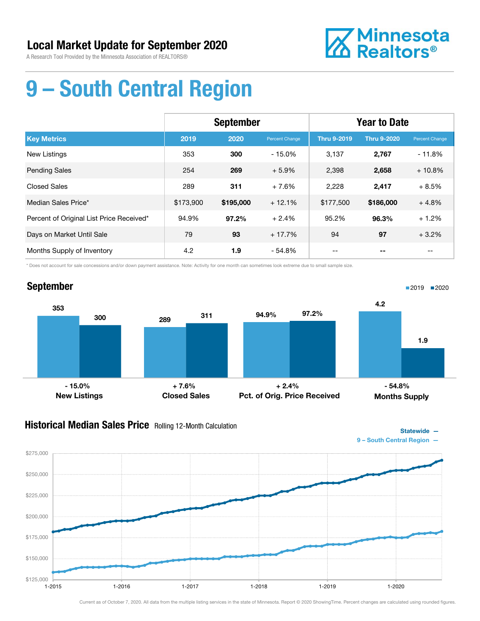

# 9 – South Central Region

|                                          | <b>September</b> |           |                | <b>Year to Date</b> |                    |                |
|------------------------------------------|------------------|-----------|----------------|---------------------|--------------------|----------------|
| <b>Key Metrics</b>                       | 2019             | 2020      | Percent Change | <b>Thru 9-2019</b>  | <b>Thru 9-2020</b> | Percent Change |
| <b>New Listings</b>                      | 353              | 300       | $-15.0%$       | 3,137               | 2,767              | $-11.8%$       |
| <b>Pending Sales</b>                     | 254              | 269       | $+5.9%$        | 2,398               | 2,658              | $+10.8%$       |
| <b>Closed Sales</b>                      | 289              | 311       | $+7.6%$        | 2,228               | 2,417              | $+8.5%$        |
| Median Sales Price*                      | \$173,900        | \$195,000 | $+12.1%$       | \$177,500           | \$186,000          | $+4.8%$        |
| Percent of Original List Price Received* | 94.9%            | 97.2%     | $+2.4%$        | 95.2%               | 96.3%              | $+1.2%$        |
| Days on Market Until Sale                | 79               | 93        | $+17.7%$       | 94                  | 97                 | $+3.2%$        |
| Months Supply of Inventory               | 4.2              | 1.9       | - 54.8%        |                     |                    |                |

\* Does not account for sale concessions and/or down payment assistance. Note: Activity for one month can sometimes look extreme due to small sample size.



#### **Historical Median Sales Price** Rolling 12-Month Calculation



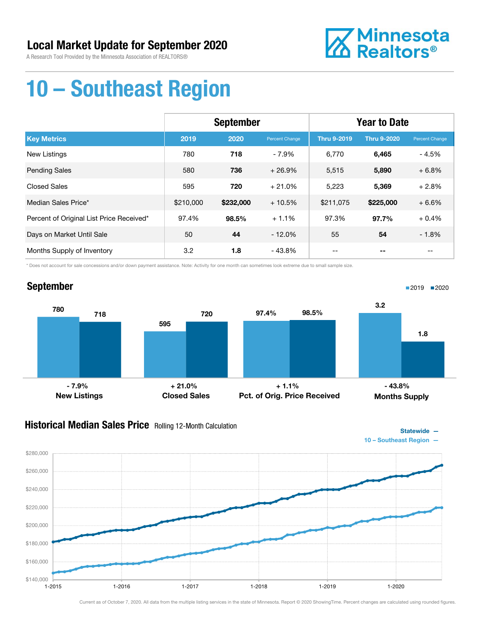

# 10 – Southeast Region

|                                          | <b>September</b> |           |                | <b>Year to Date</b> |                    |                |
|------------------------------------------|------------------|-----------|----------------|---------------------|--------------------|----------------|
| <b>Key Metrics</b>                       | 2019             | 2020      | Percent Change | <b>Thru 9-2019</b>  | <b>Thru 9-2020</b> | Percent Change |
| <b>New Listings</b>                      | 780              | 718       | $-7.9%$        | 6,770               | 6,465              | $-4.5%$        |
| <b>Pending Sales</b>                     | 580              | 736       | $+26.9%$       | 5,515               | 5,890              | $+6.8%$        |
| <b>Closed Sales</b>                      | 595              | 720       | $+21.0%$       | 5,223               | 5,369              | $+2.8%$        |
| Median Sales Price*                      | \$210,000        | \$232,000 | $+10.5%$       | \$211,075           | \$225,000          | $+6.6%$        |
| Percent of Original List Price Received* | 97.4%            | 98.5%     | $+1.1%$        | 97.3%               | 97.7%              | $+0.4%$        |
| Days on Market Until Sale                | 50               | 44        | $-12.0%$       | 55                  | 54                 | $-1.8%$        |
| Months Supply of Inventory               | 3.2              | 1.8       | - 43.8%        |                     |                    |                |

\* Does not account for sale concessions and/or down payment assistance. Note: Activity for one month can sometimes look extreme due to small sample size.



#### **Historical Median Sales Price** Rolling 12-Month Calculation



Statewide —